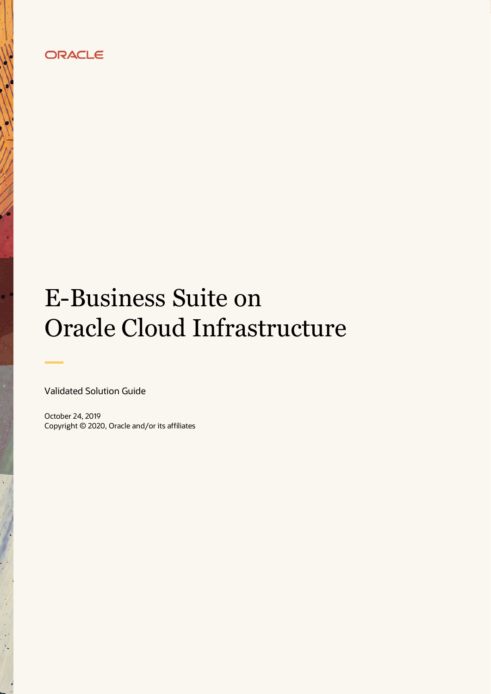# ORACLE

# E-Business Suite on Oracle Cloud Infrastructure

Validated Solution Guide

 $\bullet$ 

October 24, 2019 Copyright © 2020, Oracle and/or its affiliates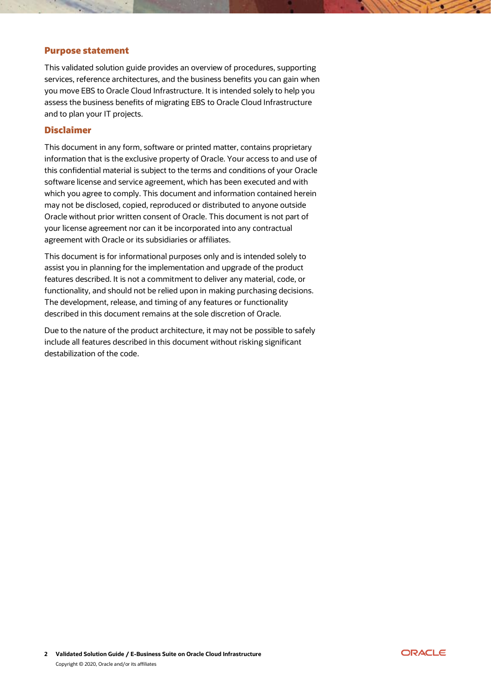# Purpose statement

This validated solution guide provides an overview of procedures, supporting services, reference architectures, and the business benefits you can gain when you move EBS to Oracle Cloud Infrastructure. It is intended solely to help you assess the business benefits of migrating EBS to Oracle Cloud Infrastructure and to plan your IT projects.

# Disclaimer

This document in any form, software or printed matter, contains proprietary information that is the exclusive property of Oracle. Your access to and use of this confidential material is subject to the terms and conditions of your Oracle software license and service agreement, which has been executed and with which you agree to comply. This document and information contained herein may not be disclosed, copied, reproduced or distributed to anyone outside Oracle without prior written consent of Oracle. This document is not part of your license agreement nor can it be incorporated into any contractual agreement with Oracle or its subsidiaries or affiliates.

This document is for informational purposes only and is intended solely to assist you in planning for the implementation and upgrade of the product features described. It is not a commitment to deliver any material, code, or functionality, and should not be relied upon in making purchasing decisions. The development, release, and timing of any features or functionality described in this document remains at the sole discretion of Oracle.

Due to the nature of the product architecture, it may not be possible to safely include all features described in this document without risking significant destabilization of the code.

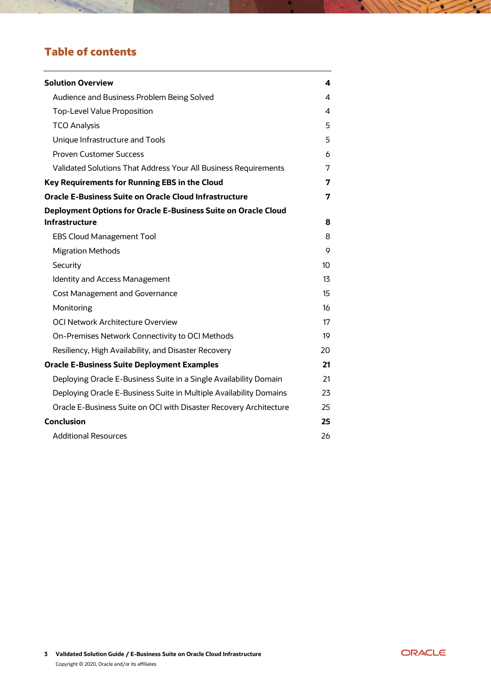# Table of contents

 $\mathcal{A}$ 

| <b>Solution Overview</b>                                              | 4  |
|-----------------------------------------------------------------------|----|
| Audience and Business Problem Being Solved                            | 4  |
| <b>Top-Level Value Proposition</b>                                    | 4  |
| <b>TCO Analysis</b>                                                   | 5  |
| Unique Infrastructure and Tools                                       | 5  |
| <b>Proven Customer Success</b>                                        | 6  |
| Validated Solutions That Address Your All Business Requirements       | 7  |
| Key Requirements for Running EBS in the Cloud                         | 7  |
| <b>Oracle E-Business Suite on Oracle Cloud Infrastructure</b>         | 7  |
| <b>Deployment Options for Oracle E-Business Suite on Oracle Cloud</b> |    |
| <b>Infrastructure</b>                                                 | 8  |
| <b>EBS Cloud Management Tool</b>                                      | 8  |
| <b>Migration Methods</b>                                              | 9  |
| Security                                                              | 10 |
| <b>Identity and Access Management</b>                                 | 13 |
| <b>Cost Management and Governance</b>                                 | 15 |
| Monitoring                                                            | 16 |
| OCI Network Architecture Overview                                     | 17 |
| On-Premises Network Connectivity to OCI Methods                       | 19 |
| Resiliency, High Availability, and Disaster Recovery                  | 20 |
| <b>Oracle E-Business Suite Deployment Examples</b>                    | 21 |
| Deploying Oracle E-Business Suite in a Single Availability Domain     | 21 |
| Deploying Oracle E-Business Suite in Multiple Availability Domains    | 23 |
| Oracle E-Business Suite on OCI with Disaster Recovery Architecture    | 25 |
| <b>Conclusion</b>                                                     | 25 |
| <b>Additional Resources</b>                                           | 26 |



<u> 111</u>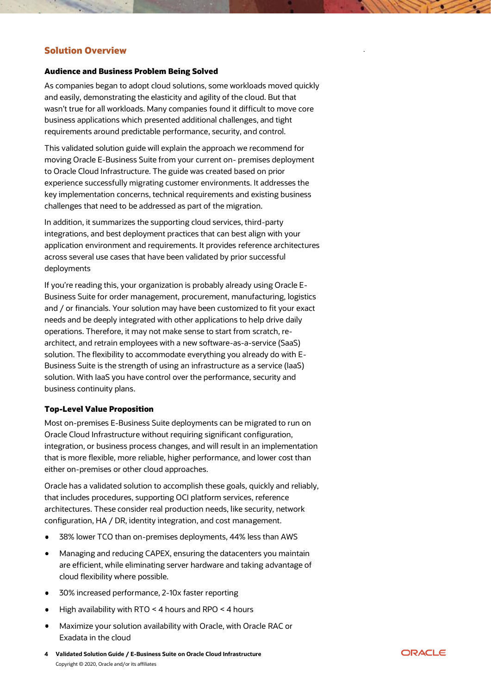# <span id="page-3-0"></span>Solution Overview

#### <span id="page-3-1"></span>Audience and Business Problem Being Solved

As companies began to adopt cloud solutions, some workloads moved quickly and easily, demonstrating the elasticity and agility of the cloud. But that wasn't true for all workloads. Many companies found it difficult to move core business applications which presented additional challenges, and tight requirements around predictable performance, security, and control.

This validated solution guide will explain the approach we recommend for moving Oracle E-Business Suite from your current on- premises deployment to Oracle Cloud Infrastructure. The guide was created based on prior experience successfully migrating customer environments. It addresses the key implementation concerns, technical requirements and existing business challenges that need to be addressed as part of the migration.

In addition, it summarizes the supporting cloud services, third-party integrations, and best deployment practices that can best align with your application environment and requirements. It provides reference architectures across several use cases that have been validated by prior successful deployments

If you're reading this, your organization is probably already using Oracle E-Business Suite for order management, procurement, manufacturing, logistics and / or financials. Your solution may have been customized to fit your exact needs and be deeply integrated with other applications to help drive daily operations. Therefore, it may not make sense to start from scratch, rearchitect, and retrain employees with a new software-as-a-service (SaaS) solution. The flexibility to accommodate everything you already do with E-Business Suite is the strength of using an infrastructure as a service (IaaS) solution. With IaaS you have control over the performance, security and business continuity plans.

#### <span id="page-3-2"></span>Top-Level Value Proposition

Most on-premises E-Business Suite deployments can be migrated to run on Oracle Cloud Infrastructure without requiring significant configuration, integration, or business process changes, and will result in an implementation that is more flexible, more reliable, higher performance, and lower cost than either on-premises or other cloud approaches.

Oracle has a validated solution to accomplish these goals, quickly and reliably, that includes procedures, supporting OCI platform services, reference architectures. These consider real production needs, like security, network configuration, HA / DR, identity integration, and cost management.

- 38% lower TCO than on-premises deployments, 44% less than AWS
- Managing and reducing CAPEX, ensuring the datacenters you maintain  $\bullet$ are efficient, while eliminating server hardware and taking advantage of cloud flexibility where possible.
- 30% increased performance, 2-10x faster reporting  $\bullet$
- High availability with RTO < 4 hours and RPO < 4 hours
- Maximize your solution availability with Oracle, with Oracle RAC or  $\bullet$ Exadata in the cloud
- **4 Validated Solution Guide / E-Business Suite on Oracle Cloud Infrastructure** Copyright © 2020, Oracle and/or its affiliates



.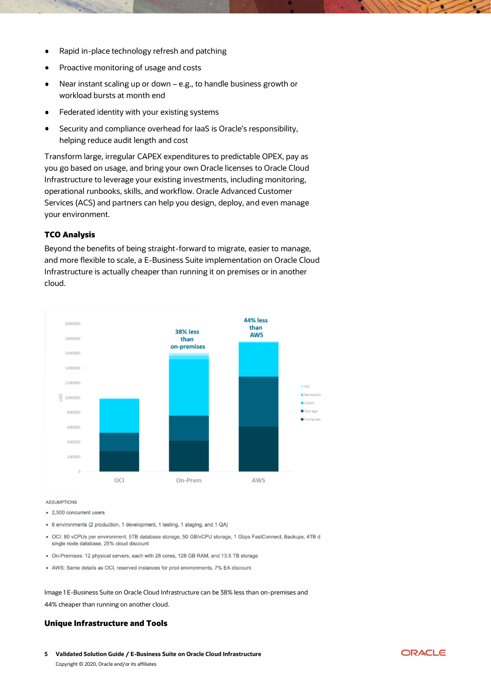- Rapid in-place technology refresh and patching
- Proactive monitoring of usage and costs
- Near instant scaling up or down e.g., to handle business growth or workload bursts at month end
- Federated identity with your existing systems
- Security and compliance overhead for IaaS is Oracle's responsibility,  $\bullet$ helping reduce audit length and cost

Transform large, irregular CAPEX expenditures to predictable OPEX, pay as you go based on usage, and bring your own Oracle licenses to Oracle Cloud Infrastructure to leverage your existing investments, including monitoring, operational runbooks, skills, and workflow. Oracle Advanced Customer Services (ACS) and partners can help you design, deploy, and even manage your environment.

#### <span id="page-4-0"></span>TCO Analysis

Beyond the benefits of being straight-forward to migrate, easier to manage, and more flexible to scale, a E-Business Suite implementation on Oracle Cloud Infrastructure is actually cheaper than running it on premises or in another cloud.



**ASSUMPTIONS** 

- 2.500 concurrent users
- 6 environments (2 production, 1 development, 1 testing, 1 staging, and 1 QA)
- · OCI: 80 vCPUs per environment, 5TB database storage, 50 GB/vCPU storage, 1 Gbps FastConnect, Backups, 4TB d single node database, 25% cloud discount
- On-Premises: 12 physical servers, each with 28 cores, 128 GB RAM, and 13.5 TB storage
- AWS: Same details as OCI, reserved instances for prod environments, 7% EA discount

Image 1 E-Business Suite on Oracle Cloud Infrastructure can be 38% less than on-premises and 44% cheaper than running on another cloud.

#### <span id="page-4-1"></span>Unique Infrastructure and Tools

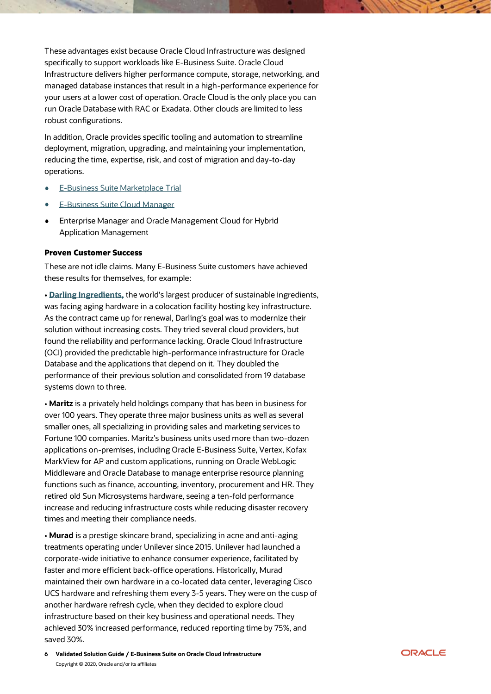These advantages exist because Oracle Cloud Infrastructure was designed specifically to support workloads like E-Business Suite. Oracle Cloud Infrastructure delivers higher performance compute, storage, networking, and managed database instances that result in a high-performance experience for your users at a lower cost of operation. Oracle Cloud is the only place you can run Oracle Database with RAC or Exadata. Other clouds are limited to less robust configurations.

In addition, Oracle provides specific tooling and automation to streamline deployment, migration, upgrading, and maintaining your implementation, reducing the time, expertise, risk, and cost of migration and day-to-day operations.

- [E-Business Suite Marketplace Trial](https://cloudmarketplace.oracle.com/marketplace/en_US/listing/50307373)
- E-Business [Suite Cloud Manager](https://cloudmarketplace.oracle.com/marketplace/en_US/listing/49940494)
- Enterprise Manager and Oracle Management Cloud for Hybrid Application Management

#### <span id="page-5-0"></span>Proven Customer Success

These are not idle claims. Many E-Business Suite customers have achieved these results for themselves, for example:

**• [Darling Ingredients,](https://cloud.oracle.com/iaas/casestudies/darling-ingredients)** the world's largest producer of sustainable ingredients, was facing aging hardware in a colocation facility hosting key infrastructure. As the contract came up for renewal, Darling's goal was to modernize their solution without increasing costs. They tried several cloud providers, but found the reliability and performance lacking. Oracle Cloud Infrastructure (OCI) provided the predictable high-performance infrastructure for Oracle Database and the applications that depend on it. They doubled the performance of their previous solution and consolidated from 19 database systems down to three.

• **Maritz** is a privately held holdings company that has been in business for over 100 years. They operate three major business units as well as several smaller ones, all specializing in providing sales and marketing services to Fortune 100 companies. Maritz's business units used more than two-dozen applications on-premises, including Oracle E-Business Suite, Vertex, Kofax MarkView for AP and custom applications, running on Oracle WebLogic Middleware and Oracle Database to manage enterprise resource planning functions such as finance, accounting, inventory, procurement and HR. They retired old Sun Microsystems hardware, seeing a ten-fold performance increase and reducing infrastructure costs while reducing disaster recovery times and meeting their compliance needs.

• **Murad** is a prestige skincare brand, specializing in acne and anti-aging treatments operating under Unilever since 2015. Unilever had launched a corporate-wide initiative to enhance consumer experience, facilitated by faster and more efficient back-office operations. Historically, Murad maintained their own hardware in a co-located data center, leveraging Cisco UCS hardware and refreshing them every 3-5 years. They were on the cusp of another hardware refresh cycle, when they decided to explore cloud infrastructure based on their key business and operational needs. They achieved 30% increased performance, reduced reporting time by 75%, and saved 30%.

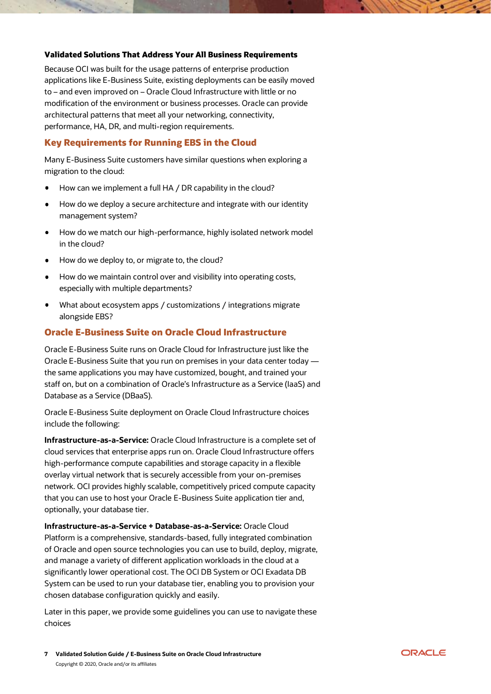#### <span id="page-6-0"></span>Validated Solutions That Address Your All Business Requirements

Because OCI was built for the usage patterns of enterprise production applications like E-Business Suite, existing deployments can be easily moved to – and even improved on – Oracle Cloud Infrastructure with little or no modification of the environment or business processes. Oracle can provide architectural patterns that meet all your networking, connectivity, performance, HA, DR, and multi-region requirements.

# <span id="page-6-1"></span>Key Requirements for Running EBS in the Cloud

Many E-Business Suite customers have similar questions when exploring a migration to the cloud:

- How can we implement a full HA / DR capability in the cloud?
- How do we deploy a secure architecture and integrate with our identity management system?
- How do we match our high-performance, highly isolated network model in the cloud?
- How do we deploy to, or migrate to, the cloud?
- $\bullet$ How do we maintain control over and visibility into operating costs, especially with multiple departments?
- What about ecosystem apps / customizations / integrations migrate alongside EBS?

#### <span id="page-6-2"></span>Oracle E-Business Suite on Oracle Cloud Infrastructure

Oracle E-Business Suite runs on Oracle Cloud for Infrastructure just like the Oracle E-Business Suite that you run on premises in your data center today the same applications you may have customized, bought, and trained your staff on, but on a combination of Oracle's Infrastructure as a Service (IaaS) and Database as a Service (DBaaS).

Oracle E-Business Suite deployment on Oracle Cloud Infrastructure choices include the following:

**Infrastructure-as-a-Service:** Oracle Cloud Infrastructure is a complete set of cloud services that enterprise apps run on. Oracle Cloud Infrastructure offers high-performance compute capabilities and storage capacity in a flexible overlay virtual network that is securely accessible from your on-premises network. OCI provides highly scalable, competitively priced compute capacity that you can use to host your Oracle E-Business Suite application tier and, optionally, your database tier.

**Infrastructure-as-a-Service + Database-as-a-Service:** Oracle Cloud Platform is a comprehensive, standards-based, fully integrated combination of Oracle and open source technologies you can use to build, deploy, migrate, and manage a variety of different application workloads in the cloud at a significantly lower operational cost. The OCI DB System or OCI Exadata DB System can be used to run your database tier, enabling you to provision your chosen database configuration quickly and easily.

Later in this paper, we provide some guidelines you can use to navigate these choices

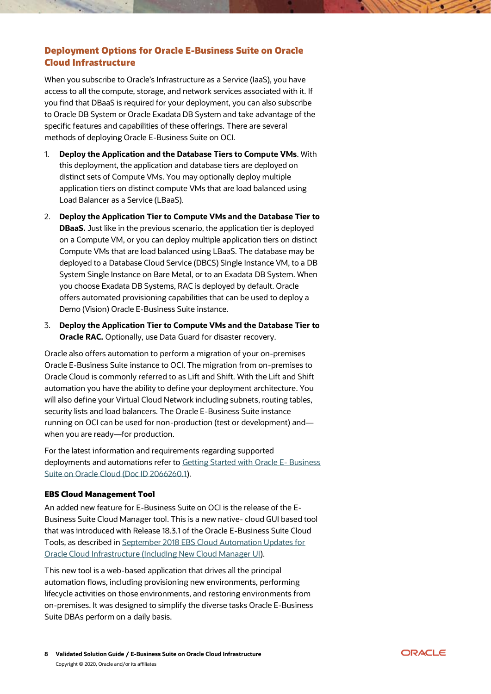# <span id="page-7-0"></span>Deployment Options for Oracle E-Business Suite on Oracle Cloud Infrastructure

When you subscribe to Oracle's Infrastructure as a Service (IaaS), you have access to all the compute, storage, and network services associated with it. If you find that DBaaS is required for your deployment, you can also subscribe to Oracle DB System or Oracle Exadata DB System and take advantage of the specific features and capabilities of these offerings. There are several methods of deploying Oracle E-Business Suite on OCI.

- 1. **Deploy the Application and the Database Tiers to Compute VMs**. With this deployment, the application and database tiers are deployed on distinct sets of Compute VMs. You may optionally deploy multiple application tiers on distinct compute VMs that are load balanced using Load Balancer as a Service (LBaaS).
- 2. **Deploy the Application Tier to Compute VMs and the Database Tier to DBaaS.** Just like in the previous scenario, the application tier is deployed on a Compute VM, or you can deploy multiple application tiers on distinct Compute VMs that are load balanced using LBaaS. The database may be deployed to a Database Cloud Service (DBCS) Single Instance VM, to a DB System Single Instance on Bare Metal, or to an Exadata DB System. When you choose Exadata DB Systems, RAC is deployed by default. Oracle offers automated provisioning capabilities that can be used to deploy a Demo (Vision) Oracle E-Business Suite instance.
- 3. **Deploy the Application Tier to Compute VMs and the Database Tier to Oracle RAC.** Optionally, use Data Guard for disaster recovery.

Oracle also offers automation to perform a migration of your on-premises Oracle E-Business Suite instance to OCI. The migration from on-premises to Oracle Cloud is commonly referred to as Lift and Shift. With the Lift and Shift automation you have the ability to define your deployment architecture. You will also define your Virtual Cloud Network including subnets, routing tables, security lists and load balancers. The Oracle E-Business Suite instance running on OCI can be used for non-production (test or development) and when you are ready—for production.

For the latest information and requirements regarding supported deployments and automations refer to [Getting Started with Oracle E-](https://support.oracle.com/rs?type=doc&id=2066260.1) Business [Suite on Oracle Cloud \(Doc ID 2066260.1\)](https://support.oracle.com/rs?type=doc&id=2066260.1).

# <span id="page-7-1"></span>EBS Cloud Management Tool

An added new feature for E-Business Suite on OCI is the release of the E-Business Suite Cloud Manager tool. This is a new native- cloud GUI based tool that was introduced with Release 18.3.1 of the Oracle E-Business Suite Cloud Tools, as described in [September 2018 EBS Cloud Automation Updates for](https://blogs.oracle.com/ebsandoraclecloud/ebs-on-oci-updates-including-new-cloud-manager-ui-for-september-2018)  [Oracle Cloud Infrastructure \(Including New Cloud Manager UI\)](https://blogs.oracle.com/ebsandoraclecloud/ebs-on-oci-updates-including-new-cloud-manager-ui-for-september-2018).

This new tool is a web-based application that drives all the principal automation flows, including provisioning new environments, performing lifecycle activities on those environments, and restoring environments from on-premises. It was designed to simplify the diverse tasks Oracle E-Business Suite DBAs perform on a daily basis.

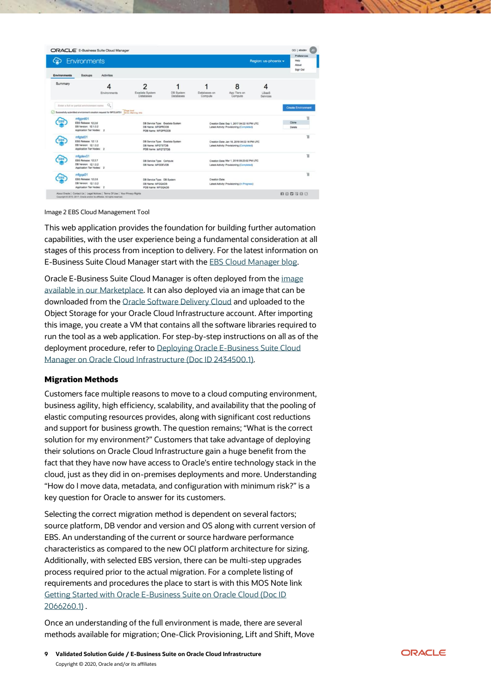| <b>Environments</b><br>(ො                                                                            | ORACLE' E-Business Suite Cloud Manager                                                                                             |                                                                                   |                               |                                                                                          |                                                                                         | Region: us-phoenix -   | OCI   ebsdev<br>Preferences<br>Help<br>About<br>Sign Out |
|------------------------------------------------------------------------------------------------------|------------------------------------------------------------------------------------------------------------------------------------|-----------------------------------------------------------------------------------|-------------------------------|------------------------------------------------------------------------------------------|-----------------------------------------------------------------------------------------|------------------------|----------------------------------------------------------|
| <b>Environments</b><br>Backups<br>Summary                                                            | <b>Activities</b><br>Environments                                                                                                  | 2<br>Exadata System<br>Databases                                                  | <b>DB System</b><br>Databases | Databases on<br>Compute                                                                  | 8<br>App Tiers on<br>Compute                                                            | 4<br>LBaaS<br>Services |                                                          |
| Enter a full or partial environment name.<br>mfgprd01<br>EBS Release: 12.2.6<br>DB Version: 12.1.0.2 | $\mathbb{Q}$<br>Successfully submitted environment creation request for MFGUATO1 Emir, Vianing, Info.<br>Application Tier Nodes: 2 | DB Service Type: Exadata System<br>DB Name: MFGPRODB<br>PDB Name: MFGPRDDB        |                               |                                                                                          | Creation Date: Sep 1, 2017 04:02:16 PM UTC<br>Latest Activity: Provisioning (Completed) |                        | <b>Create Environment</b><br>Clone<br>Delete             |
| mfgtst01<br>E85<br>EBS Release: 12.1.3<br><b>DB Version: 12.1.0.2</b>                                | Application Tier Nodes: 2                                                                                                          | DB Service Type: Exadata System<br>DB Name: MFGTSTDB<br><b>PDB Name: MFGTSTDB</b> |                               | Creation Date: Jan 18, 2018 04:02:16 PM UTC<br>Latest Activity: Provisioning (Completed) |                                                                                         | Ħ                      |                                                          |
| mfgdev01<br>EBS Release: 12.2.7<br>DB Version: 12.1.0.2                                              | Application Tier Nodes: 2                                                                                                          | DB Service Type: Compute<br>DB Name: MFGDEVOB                                     |                               | Creation Date: Mar 1, 2018 09:23:02 PM UTC<br>Latest Activity: Provisioning (Completed)  |                                                                                         | 盲                      |                                                          |
| mfgga01<br><b>EBS Release: 12.2.6</b>                                                                | <b>DB Version: 12 1.0.2</b>                                                                                                        | DB Service Type: DB System<br>DB Name: MFGQADB                                    |                               | Creation Date:                                                                           | Latest Activity: Provisioning (in Progress)                                             |                        | 訔                                                        |

Image 2 EBS Cloud Management Tool

This web application provides the foundation for building further automation capabilities, with the user experience being a fundamental consideration at all stages of this process from inception to delivery. For the latest information on E-Business Suite Cloud Manager start with the [EBS Cloud Manager blog.](https://blogs.oracle.com/ebsandoraclecloud/environment-management)

Oracle E-Business Suite Cloud Manager is often deployed from the [image](https://cloudmarketplace.oracle.com/marketplace/en_US/listing/50307373)  [available in our Marketplace.](https://cloudmarketplace.oracle.com/marketplace/en_US/listing/50307373) It can also deployed via an image that can be downloaded from th[e Oracle Software Delivery Cloud](https://edelivery.oracle.com/) and uploaded to the Object Storage for your Oracle Cloud Infrastructure account. After importing this image, you create a VM that contains all the software libraries required to run the tool as a web application. For step-by-step instructions on all as of the deployment procedure, refer to [Deploying Oracle E-Business Suite Cloud](https://support.oracle.com/rs?type=doc&id=2434500.1)  [Manager on Oracle Cloud Infrastructure \(Doc ID 2434500.1\).](https://support.oracle.com/rs?type=doc&id=2434500.1)

#### <span id="page-8-0"></span>Migration Methods

Customers face multiple reasons to move to a cloud computing environment, business agility, high efficiency, scalability, and availability that the pooling of elastic computing resources provides, along with significant cost reductions and support for business growth. The question remains; "What is the correct solution for my environment?" Customers that take advantage of deploying their solutions on Oracle Cloud Infrastructure gain a huge benefit from the fact that they have now have access to Oracle's entire technology stack in the cloud, just as they did in on-premises deployments and more. Understanding "How do I move data, metadata, and configuration with minimum risk?" is a key question for Oracle to answer for its customers.

Selecting the correct migration method is dependent on several factors; source platform, DB vendor and version and OS along with current version of EBS. An understanding of the current or source hardware performance characteristics as compared to the new OCI platform architecture for sizing. Additionally, with selected EBS version, there can be multi-step upgrades process required prior to the actual migration. For a complete listing of requirements and procedures the place to start is with this MOS Note link [Getting Started with Oracle E-Business Suite on Oracle Cloud \(Doc ID](https://support.oracle.com/epmos/faces/DocumentDisplay?_afrLoop=458654942978978&id=2066260.1&_afrWindowMode=0&_adf.ctrl-state=2ohso8d4s_4)  [2066260.1\)](https://support.oracle.com/epmos/faces/DocumentDisplay?_afrLoop=458654942978978&id=2066260.1&_afrWindowMode=0&_adf.ctrl-state=2ohso8d4s_4) .

Once an understanding of the full environment is made, there are several methods available for migration; One-Click Provisioning, Lift and Shift, Move

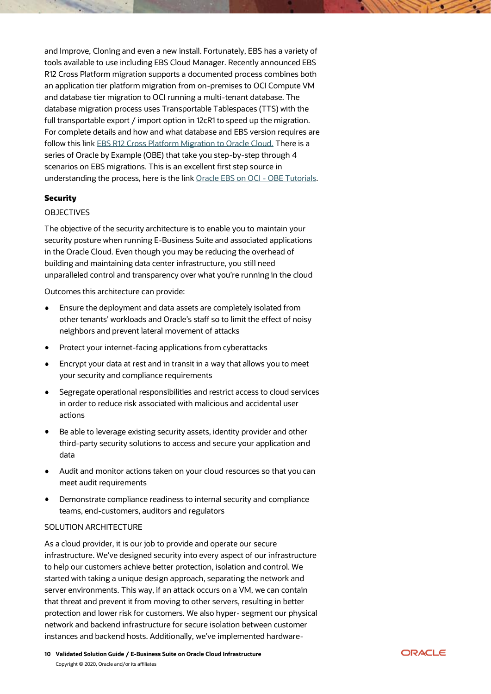and Improve, Cloning and even a new install. Fortunately, EBS has a variety of tools available to use including EBS Cloud Manager. Recently announced EBS R12 Cross Platform migration supports a documented process combines both an application tier platform migration from on-premises to OCI Compute VM and database tier migration to OCI running a multi-tenant database. The database migration process uses Transportable Tablespaces (TTS) with the full transportable export / import option in 12cR1 to speed up the migration. For complete details and how and what database and EBS version requires are follow this link [EBS R12 Cross Platform Migration to Oracle Cloud.](https://blogs.oracle.com/ebsandoraclecloud/ebs-r12-cross-platform-migration-to-oracle-cloud-now-certified) There is a series of Oracle by Example (OBE) that take you step-by-step through 4 scenarios on EBS migrations. This is an excellent first step source in understanding the process, here is the link [Oracle EBS on OCI -](https://docs.oracle.com/cd/E72030_01/infoportal/learning.html%23liftshift) OBE Tutorials.

# <span id="page-9-0"></span>**Security**

# OBJECTIVES

The objective of the security architecture is to enable you to maintain your security posture when running E-Business Suite and associated applications in the Oracle Cloud. Even though you may be reducing the overhead of building and maintaining data center infrastructure, you still need unparalleled control and transparency over what you're running in the cloud

Outcomes this architecture can provide:

- Ensure the deployment and data assets are completely isolated from other tenants' workloads and Oracle's staff so to limit the effect of noisy neighbors and prevent lateral movement of attacks
- Protect your internet-facing applications from cyberattacks
- Encrypt your data at rest and in transit in a way that allows you to meet your security and compliance requirements
- Segregate operational responsibilities and restrict access to cloud services in order to reduce risk associated with malicious and accidental user actions
- Be able to leverage existing security assets, identity provider and other third-party security solutions to access and secure your application and data
- Audit and monitor actions taken on your cloud resources so that you can meet audit requirements
- Demonstrate compliance readiness to internal security and compliance teams, end-customers, auditors and regulators

#### SOLUTION ARCHITECTURE

As a cloud provider, it is our job to provide and operate our secure infrastructure. We've designed security into every aspect of our infrastructure to help our customers achieve better protection, isolation and control. We started with taking a unique design approach, separating the network and server environments. This way, if an attack occurs on a VM, we can contain that threat and prevent it from moving to other servers, resulting in better protection and lower risk for customers. We also hyper- segment our physical network and backend infrastructure for secure isolation between customer instances and backend hosts. Additionally, we've implemented hardware-

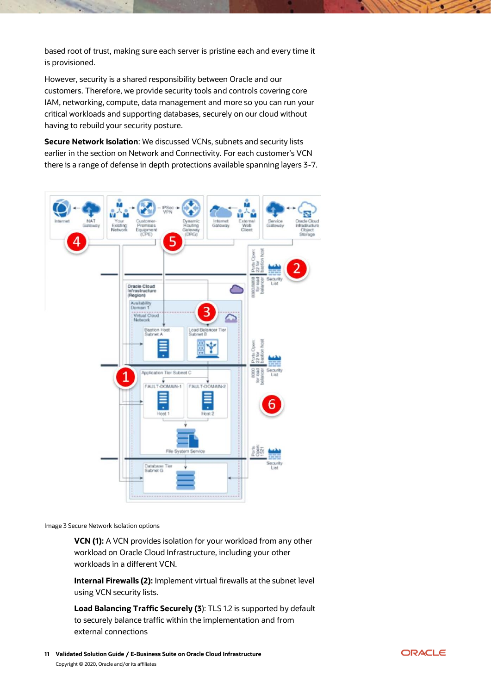based root of trust, making sure each server is pristine each and every time it is provisioned.

However, security is a shared responsibility between Oracle and our customers. Therefore, we provide security tools and controls covering core IAM, networking, compute, data management and more so you can run your critical workloads and supporting databases, securely on our cloud without having to rebuild your security posture.

**Secure Network Isolation**: We discussed VCNs, subnets and security lists earlier in the section on Network and Connectivity. For each customer's VCN there is a range of defense in depth protections available spanning layers 3-7.



Image 3 Secure Network Isolation options

**VCN (1):** A VCN provides isolation for your workload from any other workload on Oracle Cloud Infrastructure, including your other workloads in a different VCN.

**Internal Firewalls (2):** Implement virtual firewalls at the subnet level using VCN security lists.

**Load Balancing Traffic Securely (3**): TLS 1.2 is supported by default to securely balance traffic within the implementation and from external connections

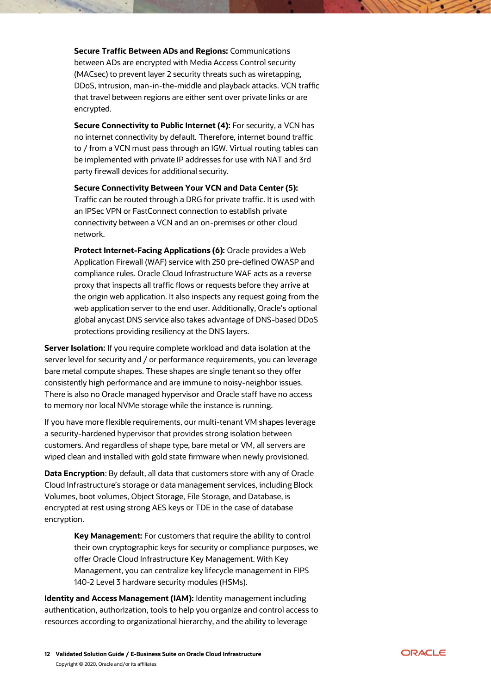**Secure Traffic Between ADs and Regions:** Communications between ADs are encrypted with Media Access Control security (MACsec) to prevent layer 2 security threats such as wiretapping, DDoS, intrusion, man-in-the-middle and playback attacks. VCN traffic that travel between regions are either sent over private links or are encrypted.

**Secure Connectivity to Public Internet (4): For security, a VCN has** no internet connectivity by default. Therefore, internet bound traffic to / from a VCN must pass through an IGW. Virtual routing tables can be implemented with private IP addresses for use with NAT and 3rd party firewall devices for additional security.

**Secure Connectivity Between Your VCN and Data Center (5):** Traffic can be routed through a DRG for private traffic. It is used with an IPSec VPN or FastConnect connection to establish private connectivity between a VCN and an on-premises or other cloud network.

**Protect Internet-Facing Applications (6):** Oracle provides a Web Application Firewall (WAF) service with 250 pre-defined OWASP and compliance rules. Oracle Cloud Infrastructure WAF acts as a reverse proxy that inspects all traffic flows or requests before they arrive at the origin web application. It also inspects any request going from the web application server to the end user. Additionally, Oracle's optional global anycast DNS service also takes advantage of DNS-based DDoS protections providing resiliency at the DNS layers.

**Server Isolation:** If you require complete workload and data isolation at the server level for security and / or performance requirements, you can leverage bare metal compute shapes. These shapes are single tenant so they offer consistently high performance and are immune to noisy-neighbor issues. There is also no Oracle managed hypervisor and Oracle staff have no access to memory nor local NVMe storage while the instance is running.

If you have more flexible requirements, our multi-tenant VM shapes leverage a security-hardened hypervisor that provides strong isolation between customers. And regardless of shape type, bare metal or VM, all servers are wiped clean and installed with gold state firmware when newly provisioned.

**Data Encryption**: By default, all data that customers store with any of Oracle Cloud Infrastructure's storage or data management services, including Block Volumes, boot volumes, Object Storage, File Storage, and Database, is encrypted at rest using strong AES keys or TDE in the case of database encryption.

> **Key Management:** For customers that require the ability to control their own cryptographic keys for security or compliance purposes, we offer Oracle Cloud Infrastructure Key Management. With Key Management, you can centralize key lifecycle management in FIPS 140-2 Level 3 hardware security modules (HSMs).

**Identity and Access Management (IAM):** Identity management including authentication, authorization, tools to help you organize and control access to resources according to organizational hierarchy, and the ability to leverage

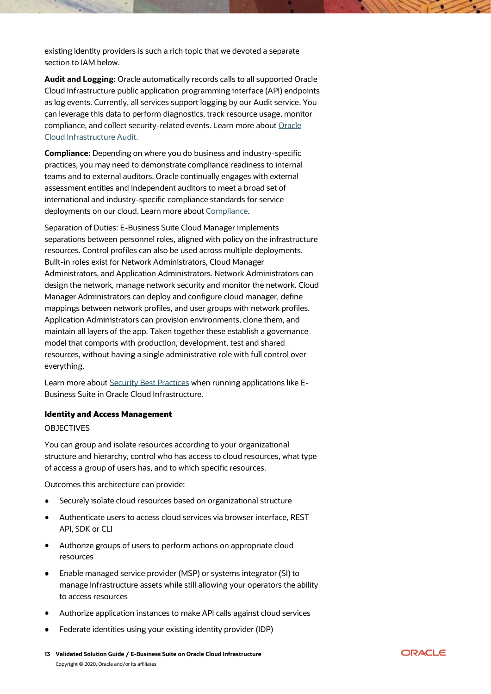existing identity providers is such a rich topic that we devoted a separate section to IAM below.

**Audit and Logging:** Oracle automatically records calls to all supported Oracle Cloud Infrastructure public application programming interface (API) endpoints as log events. Currently, all services support logging by our Audit service. You can leverage this data to perform diagnostics, track resource usage, monitor compliance, and collect security-related events. Learn more about [Oracle](https://docs.cloud.oracle.com/iaas/Content/Audit/Concepts/auditoverview.htm)  [Cloud Infrastructure Audit.](https://docs.cloud.oracle.com/iaas/Content/Audit/Concepts/auditoverview.htm)

**Compliance:** Depending on where you do business and industry-specific practices, you may need to demonstrate compliance readiness to internal teams and to external auditors. Oracle continually engages with external assessment entities and independent auditors to meet a broad set of international and industry-specific compliance standards for service deployments on our cloud. Learn more about [Compliance.](https://cloud.oracle.com/en_US/cloud-compliance)

Separation of Duties: E-Business Suite Cloud Manager implements separations between personnel roles, aligned with policy on the infrastructure resources. Control profiles can also be used across multiple deployments. Built-in roles exist for Network Administrators, Cloud Manager Administrators, and Application Administrators. Network Administrators can design the network, manage network security and monitor the network. Cloud Manager Administrators can deploy and configure cloud manager, define mappings between network profiles, and user groups with network profiles. Application Administrators can provision environments, clone them, and maintain all layers of the app. Taken together these establish a governance model that comports with production, development, test and shared resources, without having a single administrative role with full control over everything.

Learn more about [Security Best Practices](https://docs.cloud.oracle.com/iaas/Content/Security/Concepts/security_guide.htm) when running applications like E-Business Suite in Oracle Cloud Infrastructure.

# <span id="page-12-0"></span>Identity and Access Management

#### OBJECTIVES

You can group and isolate resources according to your organizational structure and hierarchy, control who has access to cloud resources, what type of access a group of users has, and to which specific resources.

Outcomes this architecture can provide:

- Securely isolate cloud resources based on organizational structure
- Authenticate users to access cloud services via browser interface, REST  $\bullet$ API, SDK or CLI
- Authorize groups of users to perform actions on appropriate cloud resources
- Enable managed service provider (MSP) or systems integrator (SI) to manage infrastructure assets while still allowing your operators the ability to access resources
- Authorize application instances to make API calls against cloud services
- Federate identities using your existing identity provider (IDP)
- **13 Validated Solution Guide / E-Business Suite on Oracle Cloud Infrastructure** Copyright © 2020, Oracle and/or its affiliates

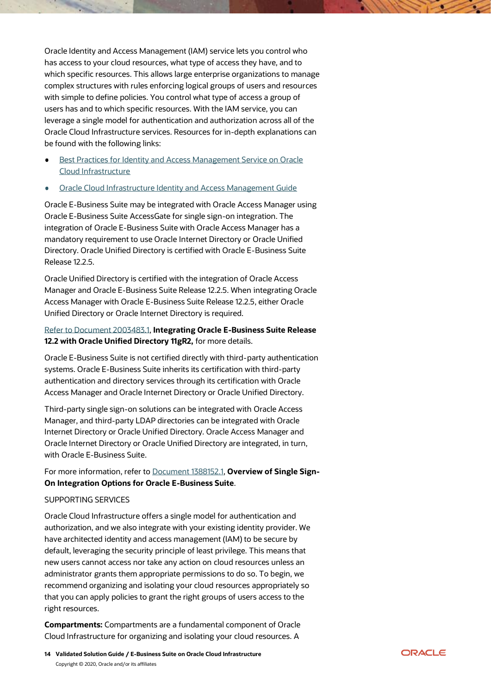Oracle Identity and Access Management (IAM) service lets you control who has access to your cloud resources, what type of access they have, and to which specific resources. This allows large enterprise organizations to manage complex structures with rules enforcing logical groups of users and resources with simple to define policies. You control what type of access a group of users has and to which specific resources. With the IAM service, you can leverage a single model for authentication and authorization across all of the Oracle Cloud Infrastructure services. Resources for in-depth explanations can be found with the following links:

- [Best Practices for Identity and Access Management Service on Oracle](https://blogs.oracle.com/cloud-infrastructure/best-practices-for-identity-and-access-management-service-on-oracle-cloud-infrastructure)  [Cloud Infrastructure](https://blogs.oracle.com/cloud-infrastructure/best-practices-for-identity-and-access-management-service-on-oracle-cloud-infrastructure)
- [Oracle Cloud Infrastructure Identity and Access Management Guide](https://docs.cloud.oracle.com/iaas/Content/Identity/Concepts/overview.htm?)

Oracle E-Business Suite may be integrated with Oracle Access Manager using Oracle E-Business Suite AccessGate for single sign-on integration. The integration of Oracle E-Business Suite with Oracle Access Manager has a mandatory requirement to use Oracle Internet Directory or Oracle Unified Directory. Oracle Unified Directory is certified with Oracle E-Business Suite Release 12.2.5.

Oracle Unified Directory is certified with the integration of Oracle Access Manager and Oracle E-Business Suite Release 12.2.5. When integrating Oracle Access Manager with Oracle E-Business Suite Release 12.2.5, either Oracle Unified Directory or Oracle Internet Directory is required.

# [Refer to Document 2003483.1,](https://support.oracle.com/epmos/faces/DocumentDisplay?parent=DOCUMENT&sourceId=2063486.1&id=2003483.1) **Integrating Oracle E-Business Suite Release 12.2 with Oracle Unified Directory 11gR2,** for more details.

Oracle E-Business Suite is not certified directly with third-party authentication systems. Oracle E-Business Suite inherits its certification with third-party authentication and directory services through its certification with Oracle Access Manager and Oracle Internet Directory or Oracle Unified Directory.

Third-party single sign-on solutions can be integrated with Oracle Access Manager, and third-party LDAP directories can be integrated with Oracle Internet Directory or Oracle Unified Directory. Oracle Access Manager and Oracle Internet Directory or Oracle Unified Directory are integrated, in turn, with Oracle E-Business Suite.

For more information, refer to [Document 1388152.1,](https://support.oracle.com/epmos/faces/DocumentDisplay?parent=DOCUMENT&sourceId=2063486.1&id=1388152.1) **Overview of Single Sign-On Integration Options for Oracle E-Business Suite**.

# SUPPORTING SERVICES

Oracle Cloud Infrastructure offers a single model for authentication and authorization, and we also integrate with your existing identity provider. We have architected identity and access management (IAM) to be secure by default, leveraging the security principle of least privilege. This means that new users cannot access nor take any action on cloud resources unless an administrator grants them appropriate permissions to do so. To begin, we recommend organizing and isolating your cloud resources appropriately so that you can apply policies to grant the right groups of users access to the right resources.

**Compartments:** Compartments are a fundamental component of Oracle Cloud Infrastructure for organizing and isolating your cloud resources. A

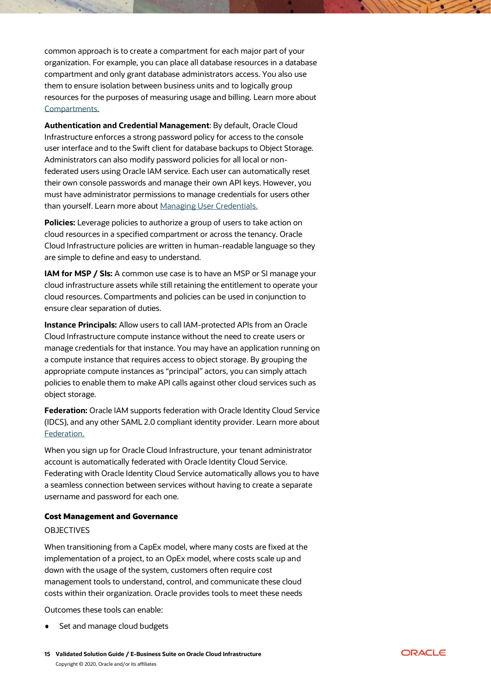common approach is to create a compartment for each major part of your organization. For example, you can place all database resources in a database compartment and only grant database administrators access. You also use them to ensure isolation between business units and to logically group resources for the purposes of measuring usage and billing. Learn more about [Compartments.](https://docs.cloud.oracle.com/iaas/Content/Identity/Tasks/managingcompartments.htm)

**Authentication and Credential Management**: By default, Oracle Cloud Infrastructure enforces a strong password policy for access to the console user interface and to the Swift client for database backups to Object Storage. Administrators can also modify password policies for all local or nonfederated users using Oracle IAM service. Each user can automatically reset their own console passwords and manage their own API keys. However, you must have administrator permissions to manage credentials for users other than yourself. Learn more about [Managing User Credentials.](https://docs.cloud.oracle.com/iaas/Content/Identity/Concepts/usercredentials.htm)

**Policies:** Leverage policies to authorize a group of users to take action on cloud resources in a specified compartment or across the tenancy. Oracle Cloud Infrastructure policies are written in human-readable language so they are simple to define and easy to understand.

**IAM for MSP / SIs:** A common use case is to have an MSP or SI manage your cloud infrastructure assets while still retaining the entitlement to operate your cloud resources. Compartments and policies can be used in conjunction to ensure clear separation of duties.

**Instance Principals:** Allow users to call IAM-protected APIs from an Oracle Cloud Infrastructure compute instance without the need to create users or manage credentials for that instance. You may have an application running on a compute instance that requires access to object storage. By grouping the appropriate compute instances as "principal" actors, you can simply attach policies to enable them to make API calls against other cloud services such as object storage.

**Federation:** Oracle IAM supports federation with Oracle Identity Cloud Service (IDCS), and any other SAML 2.0 compliant identity provider. Learn more about [Federation.](https://docs.cloud.oracle.com/iaas/Content/Identity/Concepts/federation.htm)

When you sign up for Oracle Cloud Infrastructure, your tenant administrator account is automatically federated with Oracle Identity Cloud Service. Federating with Oracle Identity Cloud Service automatically allows you to have a seamless connection between services without having to create a separate username and password for each one.

#### <span id="page-14-0"></span>Cost Management and Governance

#### OBJECTIVES

When transitioning from a CapEx model, where many costs are fixed at the implementation of a project, to an OpEx model, where costs scale up and down with the usage of the system, customers often require cost management tools to understand, control, and communicate these cloud costs within their organization. Oracle provides tools to meet these needs

Outcomes these tools can enable:

Set and manage cloud budgets

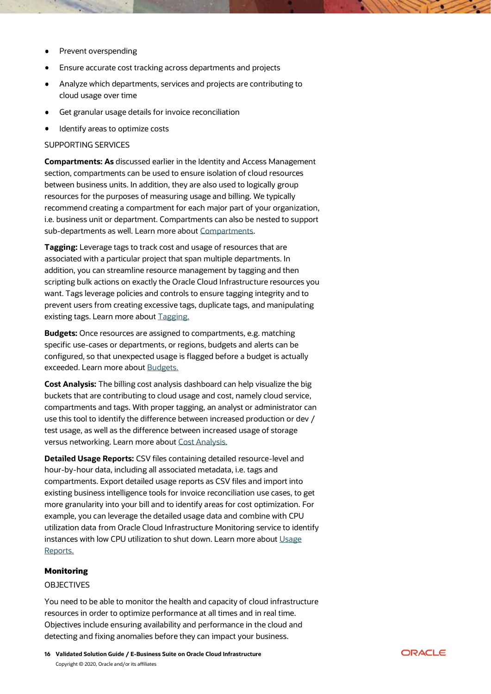- Prevent overspending
- Ensure accurate cost tracking across departments and projects
- Analyze which departments, services and projects are contributing to cloud usage over time
- Get granular usage details for invoice reconciliation
- Identify areas to optimize costs  $\bullet$

#### SUPPORTING SERVICES

**Compartments: As** discussed earlier in the Identity and Access Management section, compartments can be used to ensure isolation of cloud resources between business units. In addition, they are also used to logically group resources for the purposes of measuring usage and billing. We typically recommend creating a compartment for each major part of your organization, i.e. business unit or department. Compartments can also be nested to support sub-departments as well. Learn more about [Compartments.](https://docs.cloud.oracle.com/iaas/Content/Identity/Tasks/managingcompartments.htm)

**Tagging:** Leverage tags to track cost and usage of resources that are associated with a particular project that span multiple departments. In addition, you can streamline resource management by tagging and then scripting bulk actions on exactly the Oracle Cloud Infrastructure resources you want. Tags leverage policies and controls to ensure tagging integrity and to prevent users from creating excessive tags, duplicate tags, and manipulating existing tags. Learn more about [Tagging.](https://docs.cloud.oracle.com/en-us/iaas/Content/Tagging/Concepts/taggingoverview.htm)

**Budgets:** Once resources are assigned to compartments, e.g. matching specific use-cases or departments, or regions, budgets and alerts can be configured, so that unexpected usage is flagged before a budget is actually exceeded. Learn more abou[t Budgets.](https://docs.cloud.oracle.com/iaas/Content/Billing/Concepts/budgetsoverview.htm)

**Cost Analysis:** The billing cost analysis dashboard can help visualize the big buckets that are contributing to cloud usage and cost, namely cloud service, compartments and tags. With proper tagging, an analyst or administrator can use this tool to identify the difference between increased production or dev / test usage, as well as the difference between increased usage of storage versus networking. Learn more about [Cost Analysis.](https://docs.cloud.oracle.com/iaas/Content/GSG/Concepts/costs.htm)

**Detailed Usage Reports:** CSV files containing detailed resource-level and hour-by-hour data, including all associated metadata, i.e. tags and compartments. Export detailed usage reports as CSV files and import into existing business intelligence tools for invoice reconciliation use cases, to get more granularity into your bill and to identify areas for cost optimization. For example, you can leverage the detailed usage data and combine with CPU utilization data from Oracle Cloud Infrastructure Monitoring service to identify instances with low CPU utilization to shut down. Learn more about [Usage](https://docs.cloud.oracle.com/iaas/Content/Billing/Concepts/usagereportsoverview.htm)  [Reports.](https://docs.cloud.oracle.com/iaas/Content/Billing/Concepts/usagereportsoverview.htm)

### <span id="page-15-0"></span>Monitoring

#### OBJECTIVES

You need to be able to monitor the health and capacity of cloud infrastructure resources in order to optimize performance at all times and in real time. Objectives include ensuring availability and performance in the cloud and detecting and fixing anomalies before they can impact your business.

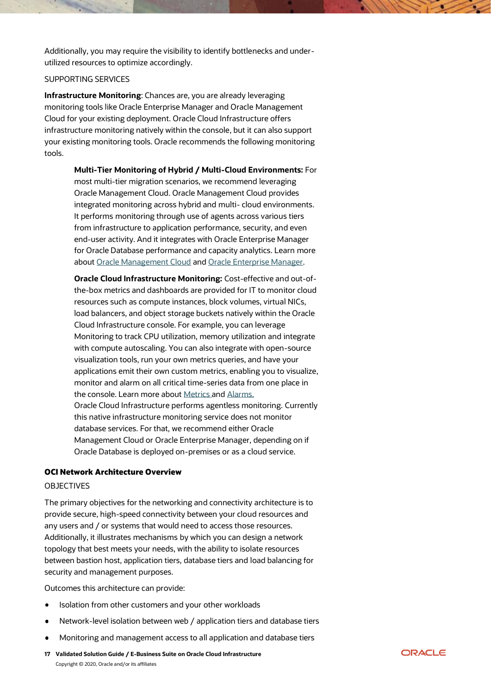Additionally, you may require the visibility to identify bottlenecks and underutilized resources to optimize accordingly.

# SUPPORTING SERVICES

**Infrastructure Monitoring**: Chances are, you are already leveraging monitoring tools like Oracle Enterprise Manager and Oracle Management Cloud for your existing deployment. Oracle Cloud Infrastructure offers infrastructure monitoring natively within the console, but it can also support your existing monitoring tools. Oracle recommends the following monitoring tools.

> **Multi-Tier Monitoring of Hybrid / Multi-Cloud Environments:** For most multi-tier migration scenarios, we recommend leveraging Oracle Management Cloud. Oracle Management Cloud provides integrated monitoring across hybrid and multi- cloud environments. It performs monitoring through use of agents across various tiers from infrastructure to application performance, security, and even end-user activity. And it integrates with Oracle Enterprise Manager for Oracle Database performance and capacity analytics. Learn more about [Oracle Management Cloud](https://docs.oracle.com/en/cloud/paas/management-cloud/index.html) and [Oracle Enterprise Manager.](https://cloudmarketplace.oracle.com/marketplace/en_US/listing/51275099)

> **Oracle Cloud Infrastructure Monitoring:** Cost-effective and out-ofthe-box metrics and dashboards are provided for IT to monitor cloud resources such as compute instances, block volumes, virtual NICs, load balancers, and object storage buckets natively within the Oracle Cloud Infrastructure console. For example, you can leverage Monitoring to track CPU utilization, memory utilization and integrate with compute autoscaling. You can also integrate with open-source visualization tools, run your own metrics queries, and have your applications emit their own custom metrics, enabling you to visualize, monitor and alarm on all critical time-series data from one place in the console. Learn more about [Metrics](https://docs.cloud.oracle.com/en-us/iaas/Content/Monitoring/Concepts/monitoringoverview.htm) an[d Alarms.](https://docs.cloud.oracle.com/iaas/Content/Monitoring/Concepts/alarmsbestpractices.htm) Oracle Cloud Infrastructure performs agentless monitoring. Currently this native infrastructure monitoring service does not monitor database services. For that, we recommend either Oracle Management Cloud or Oracle Enterprise Manager, depending on if Oracle Database is deployed on-premises or as a cloud service.

#### <span id="page-16-0"></span>OCI Network Architecture Overview

#### OBJECTIVES

The primary objectives for the networking and connectivity architecture is to provide secure, high-speed connectivity between your cloud resources and any users and / or systems that would need to access those resources. Additionally, it illustrates mechanisms by which you can design a network topology that best meets your needs, with the ability to isolate resources between bastion host, application tiers, database tiers and load balancing for security and management purposes.

Outcomes this architecture can provide:

- Isolation from other customers and your other workloads
- Network-level isolation between web / application tiers and database tiers
- Monitoring and management access to all application and database tiers
- **17 Validated Solution Guide / E-Business Suite on Oracle Cloud Infrastructure** Copyright © 2020, Oracle and/or its affiliates

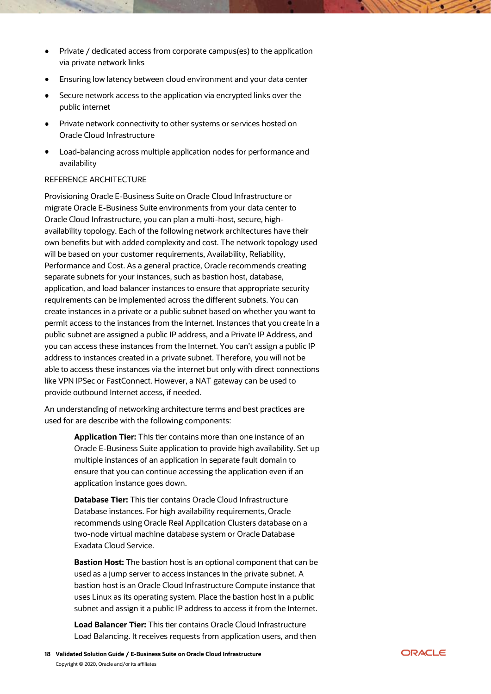- Private / dedicated access from corporate campus(es) to the application via private network links
- Ensuring low latency between cloud environment and your data center
- Secure network access to the application via encrypted links over the public internet
- Private network connectivity to other systems or services hosted on Oracle Cloud Infrastructure
- Load-balancing across multiple application nodes for performance and availability

# REFERENCE ARCHITECTURE

Provisioning Oracle E-Business Suite on Oracle Cloud Infrastructure or migrate Oracle E-Business Suite environments from your data center to Oracle Cloud Infrastructure, you can plan a multi-host, secure, highavailability topology. Each of the following network architectures have their own benefits but with added complexity and cost. The network topology used will be based on your customer requirements, Availability, Reliability, Performance and Cost. As a general practice, Oracle recommends creating separate subnets for your instances, such as bastion host, database, application, and load balancer instances to ensure that appropriate security requirements can be implemented across the different subnets. You can create instances in a private or a public subnet based on whether you want to permit access to the instances from the internet. Instances that you create in a public subnet are assigned a public IP address, and a Private IP Address, and you can access these instances from the Internet. You can't assign a public IP address to instances created in a private subnet. Therefore, you will not be able to access these instances via the internet but only with direct connections like VPN IPSec or FastConnect. However, a NAT gateway can be used to provide outbound Internet access, if needed.

An understanding of networking architecture terms and best practices are used for are describe with the following components:

> **Application Tier:** This tier contains more than one instance of an Oracle E-Business Suite application to provide high availability. Set up multiple instances of an application in separate fault domain to ensure that you can continue accessing the application even if an application instance goes down.

**Database Tier:** This tier contains Oracle Cloud Infrastructure Database instances. For high availability requirements, Oracle recommends using Oracle Real Application Clusters database on a two-node virtual machine database system or Oracle Database Exadata Cloud Service.

**Bastion Host:** The bastion host is an optional component that can be used as a jump server to access instances in the private subnet. A bastion host is an Oracle Cloud Infrastructure Compute instance that uses Linux as its operating system. Place the bastion host in a public subnet and assign it a public IP address to access it from the Internet.

**Load Balancer Tier:** This tier contains Oracle Cloud Infrastructure Load Balancing. It receives requests from application users, and then

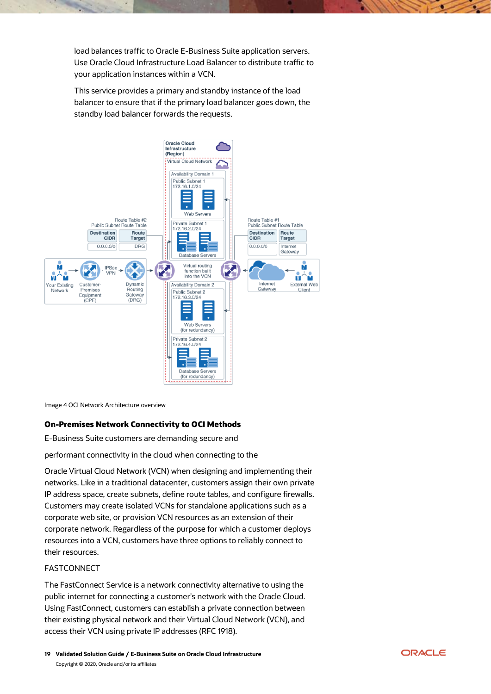load balances traffic to Oracle E-Business Suite application servers. Use Oracle Cloud Infrastructure Load Balancer to distribute traffic to your application instances within a VCN.

This service provides a primary and standby instance of the load balancer to ensure that if the primary load balancer goes down, the standby load balancer forwards the requests.



Image 4 OCI Network Architecture overview

# <span id="page-18-0"></span>On-Premises Network Connectivity to OCI Methods

E-Business Suite customers are demanding secure and

performant connectivity in the cloud when connecting to the

Oracle Virtual Cloud Network (VCN) when designing and implementing their networks. Like in a traditional datacenter, customers assign their own private IP address space, create subnets, define route tables, and configure firewalls. Customers may create isolated VCNs for standalone applications such as a corporate web site, or provision VCN resources as an extension of their corporate network. Regardless of the purpose for which a customer deploys resources into a VCN, customers have three options to reliably connect to their resources.

# FASTCONNECT

The FastConnect Service is a network connectivity alternative to using the public internet for connecting a customer's network with the Oracle Cloud. Using FastConnect, customers can establish a private connection between their existing physical network and their Virtual Cloud Network (VCN), and access their VCN using private IP addresses (RFC 1918).

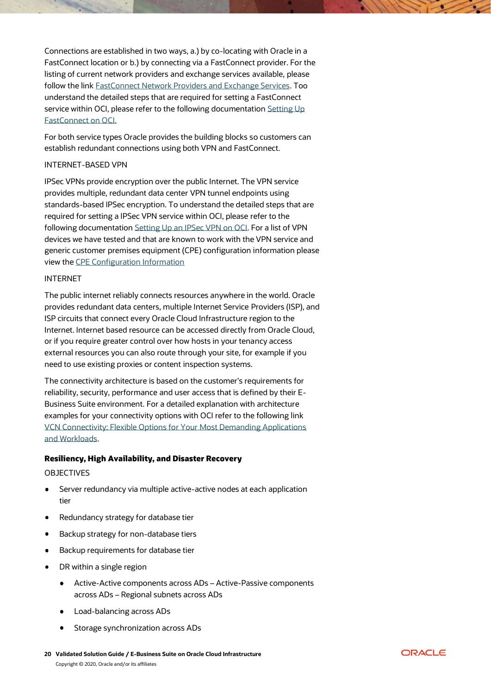Connections are established in two ways, a.) by co-locating with Oracle in a FastConnect location or b.) by connecting via a FastConnect provider. For the listing of current network providers and exchange services available, please follow the link [FastConnect Network Providers and Exchange Services.](https://www.oracle.com/cloud/networking/fastconnect.html) Too understand the detailed steps that are required for setting a FastConnect service within OCI, please refer to the following documentation Setting Up [FastConnect on OCI.](https://docs.cloud.oracle.com/iaas/Content/Network/Concepts/fastconnect.htm)

For both service types Oracle provides the building blocks so customers can establish redundant connections using both VPN and FastConnect.

#### INTERNET-BASED VPN

IPSec VPNs provide encryption over the public Internet. The VPN service provides multiple, redundant data center VPN tunnel endpoints using standards-based IPSec encryption. To understand the detailed steps that are required for setting a IPSec VPN service within OCI, please refer to the following documentatio[n Setting Up an IPSec VPN on OCI.](https://docs.cloud.oracle.com/iaas/Content/Network/Tasks/settingupIPsec.htm) For a list of VPN devices we have tested and that are known to work with the VPN service and generic customer premises equipment (CPE) configuration information please view the [CPE Configuration Information](https://docs.cloud.oracle.com/iaas/Content/Network/Tasks/configuringCPE.htm)

#### INTERNET

The public internet reliably connects resources anywhere in the world. Oracle provides redundant data centers, multiple Internet Service Providers (ISP), and ISP circuits that connect every Oracle Cloud Infrastructure region to the Internet. Internet based resource can be accessed directly from Oracle Cloud, or if you require greater control over how hosts in your tenancy access external resources you can also route through your site, for example if you need to use existing proxies or content inspection systems.

The connectivity architecture is based on the customer's requirements for reliability, security, performance and user access that is defined by their E-Business Suite environment. For a detailed explanation with architecture examples for your connectivity options with OCI refer to the following link [VCN Connectivity: Flexible Options for Your Most Demanding Applications](https://blogs.oracle.com/cloud-infrastructure/vcn-connectivity-flexible-options)  [and Workloads.](https://blogs.oracle.com/cloud-infrastructure/vcn-connectivity-flexible-options)

# <span id="page-19-0"></span>Resiliency, High Availability, and Disaster Recovery

#### OBJECTIVES

- $\bullet$ Server redundancy via multiple active-active nodes at each application tier
- Redundancy strategy for database tier
- Backup strategy for non-database tiers
- Backup requirements for database tier
- DR within a single region
	- Active-Active components across ADs Active-Passive components across ADs – Regional subnets across ADs
	- Load-balancing across ADs
	- Storage synchronization across ADs
- **20 Validated Solution Guide / E-Business Suite on Oracle Cloud Infrastructure** Copyright © 2020, Oracle and/or its affiliates

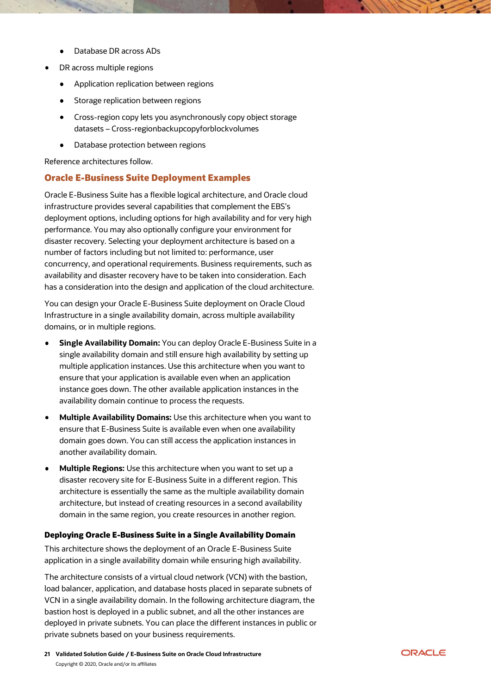- Database DR across ADs
- DR across multiple regions
	- Application replication between regions
	- Storage replication between regions
	- Cross-region copy lets you asynchronously copy object storage datasets – Cross-regionbackupcopyforblockvolumes
	- $\bullet$ Database protection between regions

Reference architectures follow.

# <span id="page-20-0"></span>Oracle E-Business Suite Deployment Examples

Oracle E-Business Suite has a flexible logical architecture, and Oracle cloud infrastructure provides several capabilities that complement the EBS's deployment options, including options for high availability and for very high performance. You may also optionally configure your environment for disaster recovery. Selecting your deployment architecture is based on a number of factors including but not limited to: performance, user concurrency, and operational requirements. Business requirements, such as availability and disaster recovery have to be taken into consideration. Each has a consideration into the design and application of the cloud architecture.

You can design your Oracle E-Business Suite deployment on Oracle Cloud Infrastructure in a single availability domain, across multiple availability domains, or in multiple regions.

- **[Single Availability Domain:](https://docs.oracle.com/en/solutions/terraform-cloud-infrastructure-ebusiness-suite/index.html%23GUID-1F8ACA7B-C147-446F-A4A4-AD70E4ECCA66)** You can deploy Oracle E-Business Suite in a single availability domain and still ensure high availability by setting up multiple application instances. Use this architecture when you want to ensure that your application is available even when an application instance goes down. The other available application instances in the availability domain continue to process the requests.
- **[Multiple Availability Domains:](https://docs.oracle.com/en/solutions/terraform-cloud-infrastructure-ebusiness-suite/index.html%23GUID-43B8797E-A2BD-4CA2-A4A9-0E19DB15DA3B)** Use this architecture when you want to ensure that E-Business Suite is available even when one availability domain goes down. You can still access the application instances in another availability domain.
- **[Multiple Regions:](https://docs.oracle.com/en/solutions/terraform-cloud-infrastructure-ebusiness-suite/index.html%23GUID-43B8797E-A2BD-4CA2-A4A9-0E19DB15DA3B)** Use this architecture when you want to set up a disaster recovery site for E-Business Suite in a different region. This architecture is essentially the same as the multiple availability domain architecture, but instead of creating resources in a second availability domain in the same region, you create resources in another region.

#### <span id="page-20-1"></span>Deploying Oracle E-Business Suite in a Single Availability Domain

This architecture shows the deployment of an Oracle E-Business Suite application in a single availability domain while ensuring high availability.

The architecture consists of a virtual cloud network (VCN) with the bastion, load balancer, application, and database hosts placed in separate subnets of VCN in a single availability domain. In the following architecture diagram, the bastion host is deployed in a public subnet, and all the other instances are deployed in private subnets. You can place the different instances in public or private subnets based on your business requirements.

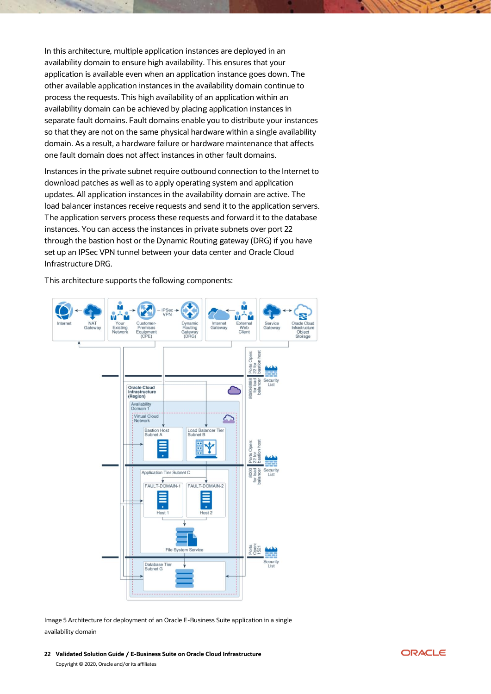In this architecture, multiple application instances are deployed in an availability domain to ensure high availability. This ensures that your application is available even when an application instance goes down. The other available application instances in the availability domain continue to process the requests. This high availability of an application within an availability domain can be achieved by placing application instances in separate fault domains. Fault domains enable you to distribute your instances so that they are not on the same physical hardware within a single availability domain. As a result, a hardware failure or hardware maintenance that affects one fault domain does not affect instances in other fault domains.

Instances in the private subnet require outbound connection to the Internet to download patches as well as to apply operating system and application updates. All application instances in the availability domain are active. The load balancer instances receive requests and send it to the application servers. The application servers process these requests and forward it to the database instances. You can access the instances in private subnets over port 22 through the bastion host or the Dynamic Routing gateway (DRG) if you have set up an IPSec VPN tunnel between your data center and Oracle Cloud Infrastructure DRG.

This architecture supports the following components:



Image 5 Architecture for deployment of an Oracle E-Business Suite application in a single availability domain

**22 Validated Solution Guide / E-Business Suite on Oracle Cloud Infrastructure** Copyright © 2020, Oracle and/or its affiliates

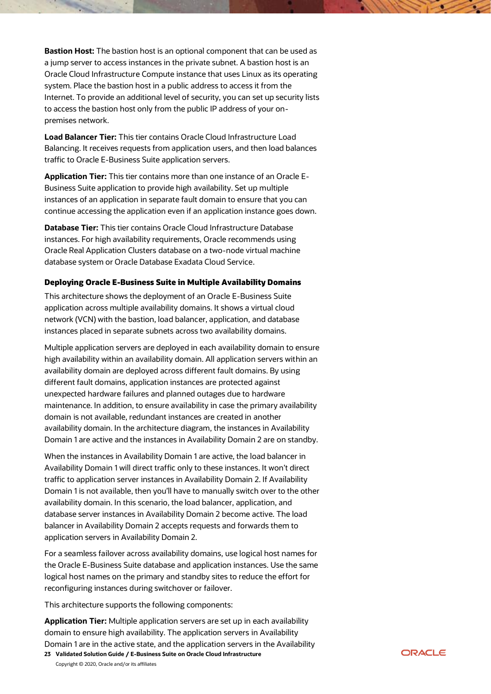**Bastion Host:** The bastion host is an optional component that can be used as a jump server to access instances in the private subnet. A bastion host is an Oracle Cloud Infrastructure Compute instance that uses Linux as its operating system. Place the bastion host in a public address to access it from the Internet. To provide an additional level of security, you can set up security lists to access the bastion host only from the public IP address of your onpremises network.

**Load Balancer Tier:** This tier contains Oracle Cloud Infrastructure Load Balancing. It receives requests from application users, and then load balances traffic to Oracle E-Business Suite application servers.

**Application Tier:** This tier contains more than one instance of an Oracle E-Business Suite application to provide high availability. Set up multiple instances of an application in separate fault domain to ensure that you can continue accessing the application even if an application instance goes down.

**Database Tier:** This tier contains Oracle Cloud Infrastructure Database instances. For high availability requirements, Oracle recommends using Oracle Real Application Clusters database on a two-node virtual machine database system or Oracle Database Exadata Cloud Service.

# <span id="page-22-0"></span>Deploying Oracle E-Business Suite in Multiple Availability Domains

This architecture shows the deployment of an Oracle E-Business Suite application across multiple availability domains. It shows a virtual cloud network (VCN) with the bastion, load balancer, application, and database instances placed in separate subnets across two availability domains.

Multiple application servers are deployed in each availability domain to ensure high availability within an availability domain. All application servers within an availability domain are deployed across different fault domains. By using different fault domains, application instances are protected against unexpected hardware failures and planned outages due to hardware maintenance. In addition, to ensure availability in case the primary availability domain is not available, redundant instances are created in another availability domain. In the architecture diagram, the instances in Availability Domain 1 are active and the instances in Availability Domain 2 are on standby.

When the instances in Availability Domain 1 are active, the load balancer in Availability Domain 1 will direct traffic only to these instances. It won't direct traffic to application server instances in Availability Domain 2. If Availability Domain 1 is not available, then you'll have to manually switch over to the other availability domain. In this scenario, the load balancer, application, and database server instances in Availability Domain 2 become active. The load balancer in Availability Domain 2 accepts requests and forwards them to application servers in Availability Domain 2.

For a seamless failover across availability domains, use logical host names for the Oracle E-Business Suite database and application instances. Use the same logical host names on the primary and standby sites to reduce the effort for reconfiguring instances during switchover or failover.

This architecture supports the following components:

**Application Tier:** Multiple application servers are set up in each availability domain to ensure high availability. The application servers in Availability Domain 1 are in the active state, and the application servers in the Availability

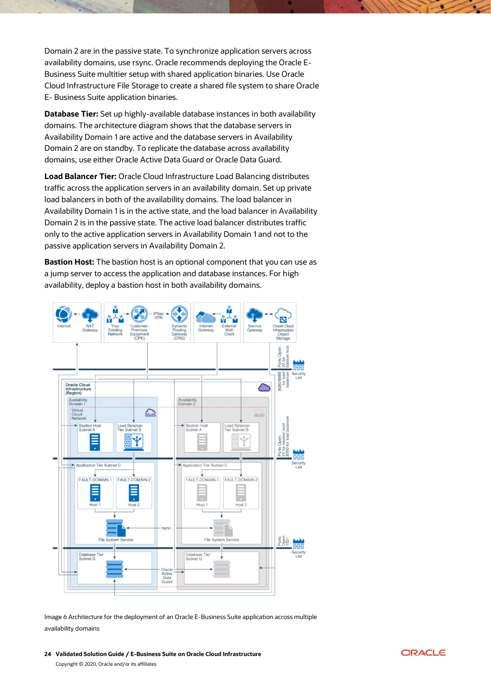Domain 2 are in the passive state. To synchronize application servers across availability domains, use rsync. Oracle recommends deploying the Oracle E-Business Suite multitier setup with shared application binaries. Use Oracle Cloud Infrastructure File Storage to create a shared file system to share Oracle E- Business Suite application binaries.

**Database Tier:** Set up highly-available database instances in both availability domains. The architecture diagram shows that the database servers in Availability Domain 1 are active and the database servers in Availability Domain 2 are on standby. To replicate the database across availability domains, use either Oracle Active Data Guard or Oracle Data Guard.

**Load Balancer Tier:** Oracle Cloud Infrastructure Load Balancing distributes traffic across the application servers in an availability domain. Set up private load balancers in both of the availability domains. The load balancer in Availability Domain 1 is in the active state, and the load balancer in Availability Domain 2 is in the passive state. The active load balancer distributes traffic only to the active application servers in Availability Domain 1 and not to the passive application servers in Availability Domain 2.

**Bastion Host:** The bastion host is an optional component that you can use as a jump server to access the application and database instances. For high availability, deploy a bastion host in both availability domains.



Image 6 Architecture for the deployment of an Oracle E-Business Suite application across multiple availability domains

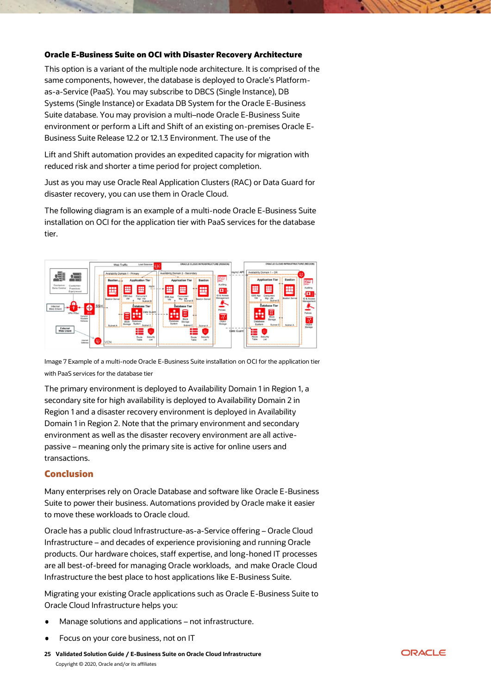#### <span id="page-24-0"></span>Oracle E-Business Suite on OCI with Disaster Recovery Architecture

This option is a variant of the multiple node architecture. It is comprised of the same components, however, the database is deployed to Oracle's Platformas-a-Service (PaaS). You may subscribe to DBCS (Single Instance), DB Systems (Single Instance) or Exadata DB System for the Oracle E-Business Suite database. You may provision a multi–node Oracle E-Business Suite environment or perform a Lift and Shift of an existing on-premises Oracle E-Business Suite Release 12.2 or 12.1.3 Environment. The use of the

Lift and Shift automation provides an expedited capacity for migration with reduced risk and shorter a time period for project completion.

Just as you may use Oracle Real Application Clusters (RAC) or Data Guard for disaster recovery, you can use them in Oracle Cloud.

The following diagram is an example of a multi-node Oracle E-Business Suite installation on OCI for the application tier with PaaS services for the database tier.



Image 7 Example of a multi-node Oracle E-Business Suite installation on OCI for the application tier with PaaS services for the database tier

The primary environment is deployed to Availability Domain 1 in Region 1, a secondary site for high availability is deployed to Availability Domain 2 in Region 1 and a disaster recovery environment is deployed in Availability Domain 1 in Region 2. Note that the primary environment and secondary environment as well as the disaster recovery environment are all activepassive – meaning only the primary site is active for online users and transactions.

# <span id="page-24-1"></span>**Conclusion**

Many enterprises rely on Oracle Database and software like Oracle E-Business Suite to power their business. Automations provided by Oracle make it easier to move these workloads to Oracle cloud.

Oracle has a public cloud Infrastructure-as-a-Service offering – Oracle Cloud Infrastructure – and decades of experience provisioning and running Oracle products. Our hardware choices, staff expertise, and long-honed IT processes are all best-of-breed for managing Oracle workloads, and make Oracle Cloud Infrastructure the best place to host applications like E-Business Suite.

Migrating your existing Oracle applications such as Oracle E-Business Suite to Oracle Cloud Infrastructure helps you:

- Manage solutions and applications not infrastructure.
- Focus on your core business, not on IT
- **25 Validated Solution Guide / E-Business Suite on Oracle Cloud Infrastructure** Copyright © 2020, Oracle and/or its affiliates

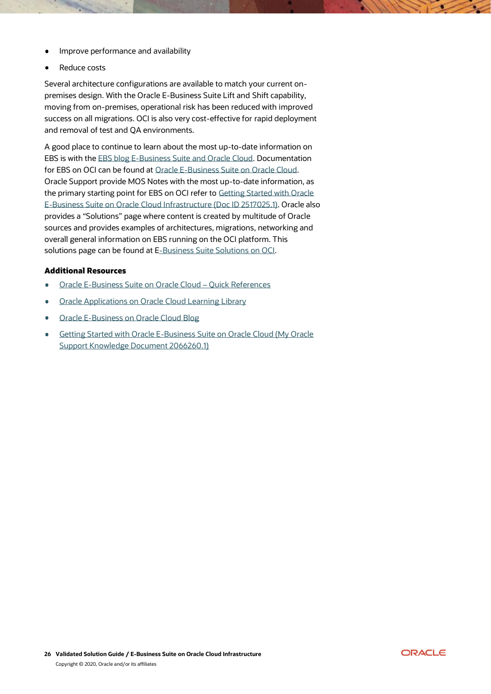- Improve performance and availability
- Reduce costs

Several architecture configurations are available to match your current onpremises design. With the Oracle E-Business Suite Lift and Shift capability, moving from on-premises, operational risk has been reduced with improved success on all migrations. OCI is also very cost-effective for rapid deployment and removal of test and QA environments.

A good place to continue to learn about the most up-to-date information on EBS is with the [EBS blog E-Business Suite and Oracle Cloud.](https://blogs.oracle.com/ebsandoraclecloud/e-business-suite-and-oracle-cloud) Documentation for EBS on OCI can be found at [Oracle E-Business Suite on Oracle Cloud.](https://docs.oracle.com/cd/E72030_01/infoportal/ebsoc.html)  Oracle Support provide MOS Notes with the most up-to-date information, as the primary starting point for EBS on OCI refer to [Getting Started with Oracle](https://support.oracle.com/epmos/faces/DocumentDisplay?_afrLoop=460177465310897&id=2517025.1&_afrWindowMode=0&_adf.ctrl-state=2ohso8d4s_53)  [E-Business Suite on Oracle Cloud Infrastructure \(Doc ID 2517025.1\).](https://support.oracle.com/epmos/faces/DocumentDisplay?_afrLoop=460177465310897&id=2517025.1&_afrWindowMode=0&_adf.ctrl-state=2ohso8d4s_53) Oracle also provides a "Solutions" page where content is created by multitude of Oracle sources and provides examples of architectures, migrations, networking and overall general information on EBS running on the OCI platform. This solutions page can be found at [E-Business Suite Solutions on OCI.](https://docs.oracle.com/en/solutions/solutions.html?search=E-Business%20Suite&page=0&is=true&sort=0)

#### <span id="page-25-0"></span>Additional Resources

- [Oracle E-Business Suite on Oracle Cloud](file://///users/ema/Documents/OCI/Assets/SolutionGuides_DigitalCampaign/Additional%20Resources%20•%20Oracle%20E-Business%20Suite%20on%20Oracle%20Cloud%20–%20Quick%20References%20•%20Oracle%20Applications%20on%20Oracle%20Cloud%20Learning%20Library%20•%20Oracle%20E-Business%20on%20Oracle%20Cloud%20Blog%20•%20Getting%20Started%20with%20Oracle%20E-Business%20Suite%20on%20Oracle%20Cloud%20(My%20Oracle%20Support%20Knowledge%20Document%202066260.1))  Quick References
- [Oracle Applications on Oracle Cloud Learning Library](file://///users/ema/Documents/OCI/Assets/SolutionGuides_DigitalCampaign/Additional%20Resources%20•%20Oracle%20E-Business%20Suite%20on%20Oracle%20Cloud%20–%20Quick%20References%20•%20Oracle%20Applications%20on%20Oracle%20Cloud%20Learning%20Library%20•%20Oracle%20E-Business%20on%20Oracle%20Cloud%20Blog%20•%20Getting%20Started%20with%20Oracle%20E-Business%20Suite%20on%20Oracle%20Cloud%20(My%20Oracle%20Support%20Knowledge%20Document%202066260.1))
- [Oracle E-Business on Oracle Cloud Blog](file://///users/ema/Documents/OCI/Assets/SolutionGuides_DigitalCampaign/Additional%20Resources%20•%20Oracle%20E-Business%20Suite%20on%20Oracle%20Cloud%20–%20Quick%20References%20•%20Oracle%20Applications%20on%20Oracle%20Cloud%20Learning%20Library%20•%20Oracle%20E-Business%20on%20Oracle%20Cloud%20Blog%20•%20Getting%20Started%20with%20Oracle%20E-Business%20Suite%20on%20Oracle%20Cloud%20(My%20Oracle%20Support%20Knowledge%20Document%202066260.1))
- [Getting Started with Oracle E-Business Suite on Oracle Cloud \(My Oracle](https://support.oracle.com/epmos/faces/DocumentDisplay?parent=DOCUMENT&sourceId=2066260.1&id=2066260.1)  [Support Knowledge Document 2066260.1\)](https://support.oracle.com/epmos/faces/DocumentDisplay?parent=DOCUMENT&sourceId=2066260.1&id=2066260.1)